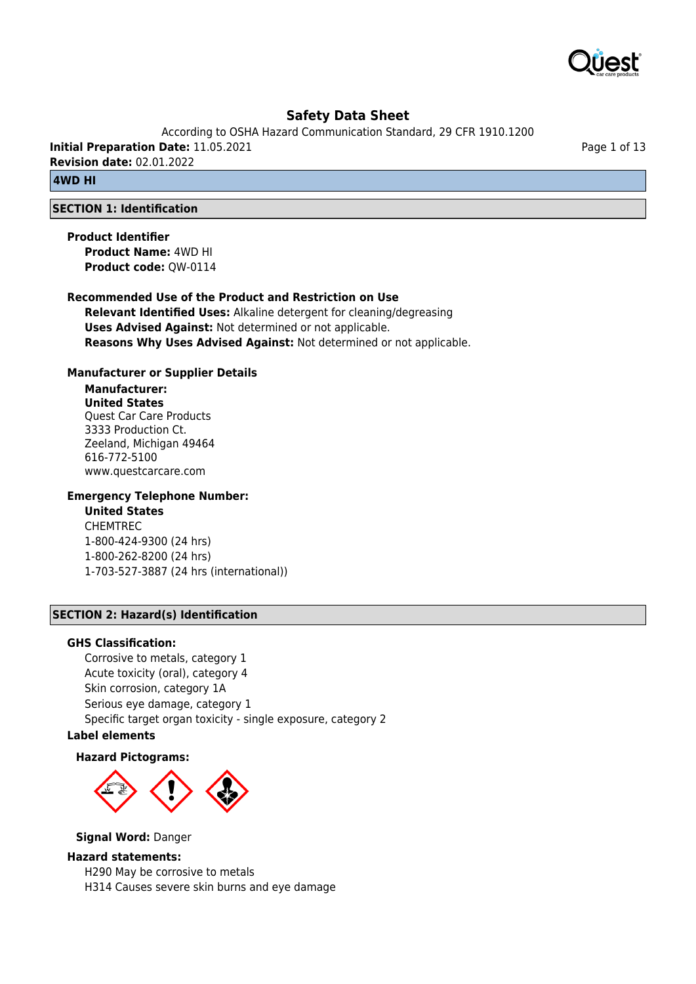

According to OSHA Hazard Communication Standard, 29 CFR 1910.1200

**Initial Preparation Date:** 11.05.2021

**Revision date:** 02.01.2022

# **4WD HI**

# **SECTION 1: Identification**

**Product Identifier Product Name:** 4WD HI **Product code:** QW-0114

# **Recommended Use of the Product and Restriction on Use**

**Relevant Identified Uses:** Alkaline detergent for cleaning/degreasing **Uses Advised Against:** Not determined or not applicable. **Reasons Why Uses Advised Against:** Not determined or not applicable.

## **Manufacturer or Supplier Details**

## **Manufacturer: United States** Quest Car Care Products 3333 Production Ct. Zeeland, Michigan 49464 616-772-5100 www.questcarcare.com

## **Emergency Telephone Number:**

# **United States**

CHEMTREC 1-800-424-9300 (24 hrs) 1-800-262-8200 (24 hrs) 1-703-527-3887 (24 hrs (international))

## **SECTION 2: Hazard(s) Identification**

## **GHS Classification:**

Corrosive to metals, category 1 Acute toxicity (oral), category 4 Skin corrosion, category 1A Serious eye damage, category 1 Specific target organ toxicity - single exposure, category 2

# **Label elements**

## **Hazard Pictograms:**



## **Signal Word:** Danger

## **Hazard statements:**

H290 May be corrosive to metals H314 Causes severe skin burns and eye damage Page 1 of 13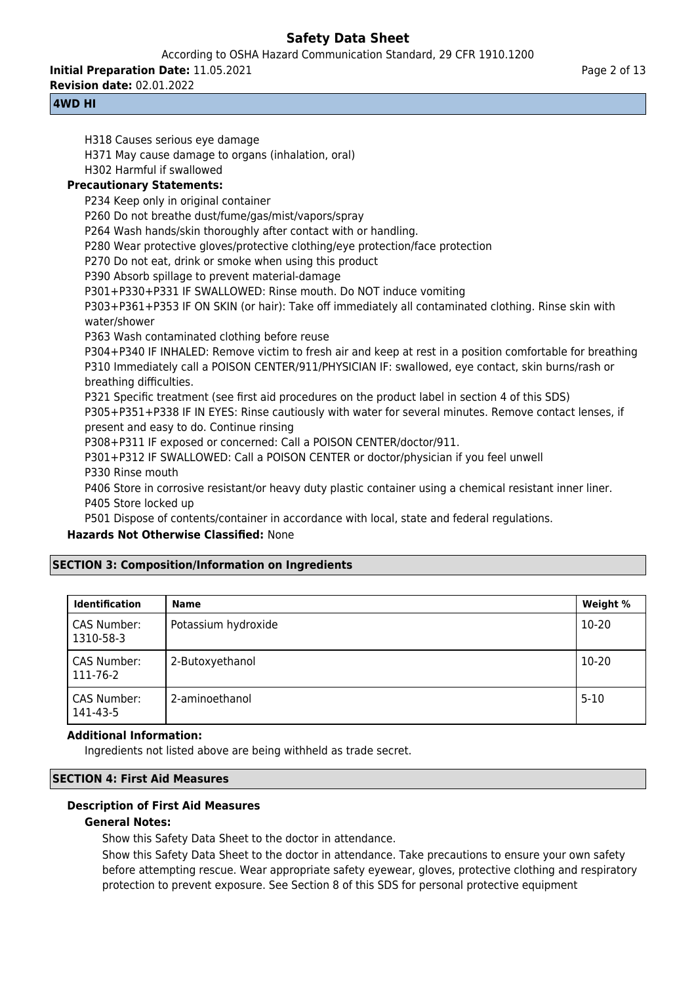According to OSHA Hazard Communication Standard, 29 CFR 1910.1200

**Initial Preparation Date:** 11.05.2021

**Revision date:** 02.01.2022

# **4WD HI**

H318 Causes serious eye damage

H371 May cause damage to organs (inhalation, oral)

H302 Harmful if swallowed

# **Precautionary Statements:**

P234 Keep only in original container

P260 Do not breathe dust/fume/gas/mist/vapors/spray

P264 Wash hands/skin thoroughly after contact with or handling.

P280 Wear protective gloves/protective clothing/eye protection/face protection

P270 Do not eat, drink or smoke when using this product

P390 Absorb spillage to prevent material-damage

P301+P330+P331 IF SWALLOWED: Rinse mouth. Do NOT induce vomiting

P303+P361+P353 IF ON SKIN (or hair): Take off immediately all contaminated clothing. Rinse skin with water/shower

P363 Wash contaminated clothing before reuse

P304+P340 IF INHALED: Remove victim to fresh air and keep at rest in a position comfortable for breathing P310 Immediately call a POISON CENTER/911/PHYSICIAN IF: swallowed, eye contact, skin burns/rash or breathing difficulties.

P321 Specific treatment (see first aid procedures on the product label in section 4 of this SDS)

P305+P351+P338 IF IN EYES: Rinse cautiously with water for several minutes. Remove contact lenses, if present and easy to do. Continue rinsing

P308+P311 IF exposed or concerned: Call a POISON CENTER/doctor/911.

P301+P312 IF SWALLOWED: Call a POISON CENTER or doctor/physician if you feel unwell P330 Rinse mouth

P406 Store in corrosive resistant/or heavy duty plastic container using a chemical resistant inner liner. P405 Store locked up

P501 Dispose of contents/container in accordance with local, state and federal regulations.

# **Hazards Not Otherwise Classified:** None

# **SECTION 3: Composition/Information on Ingredients**

| <b>Identification</b>    | <b>Name</b>         | Weight % |
|--------------------------|---------------------|----------|
| CAS Number:<br>1310-58-3 | Potassium hydroxide | 10-20    |
| CAS Number:<br>111-76-2  | 2-Butoxyethanol     | 10-20    |
| CAS Number:<br>141-43-5  | 2-aminoethanol      | $5-10$   |

# **Additional Information:**

Ingredients not listed above are being withheld as trade secret.

# **SECTION 4: First Aid Measures**

# **Description of First Aid Measures**

# **General Notes:**

Show this Safety Data Sheet to the doctor in attendance.

Show this Safety Data Sheet to the doctor in attendance. Take precautions to ensure your own safety before attempting rescue. Wear appropriate safety eyewear, gloves, protective clothing and respiratory protection to prevent exposure. See Section 8 of this SDS for personal protective equipment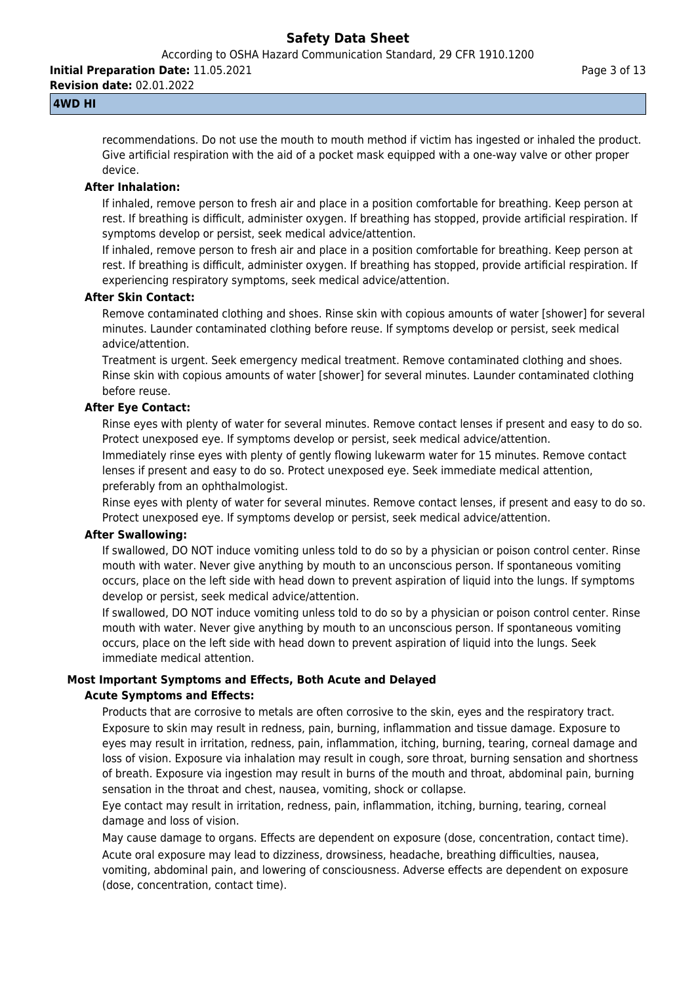According to OSHA Hazard Communication Standard, 29 CFR 1910.1200

**Initial Preparation Date:** 11.05.2021

**Revision date:** 02.01.2022

# **4WD HI**

recommendations. Do not use the mouth to mouth method if victim has ingested or inhaled the product. Give artificial respiration with the aid of a pocket mask equipped with a one-way valve or other proper device.

## **After Inhalation:**

If inhaled, remove person to fresh air and place in a position comfortable for breathing. Keep person at rest. If breathing is difficult, administer oxygen. If breathing has stopped, provide artificial respiration. If symptoms develop or persist, seek medical advice/attention.

If inhaled, remove person to fresh air and place in a position comfortable for breathing. Keep person at rest. If breathing is difficult, administer oxygen. If breathing has stopped, provide artificial respiration. If experiencing respiratory symptoms, seek medical advice/attention.

## **After Skin Contact:**

Remove contaminated clothing and shoes. Rinse skin with copious amounts of water [shower] for several minutes. Launder contaminated clothing before reuse. If symptoms develop or persist, seek medical advice/attention.

Treatment is urgent. Seek emergency medical treatment. Remove contaminated clothing and shoes. Rinse skin with copious amounts of water [shower] for several minutes. Launder contaminated clothing before reuse.

# **After Eye Contact:**

Rinse eyes with plenty of water for several minutes. Remove contact lenses if present and easy to do so. Protect unexposed eye. If symptoms develop or persist, seek medical advice/attention.

Immediately rinse eyes with plenty of gently flowing lukewarm water for 15 minutes. Remove contact lenses if present and easy to do so. Protect unexposed eye. Seek immediate medical attention, preferably from an ophthalmologist.

Rinse eyes with plenty of water for several minutes. Remove contact lenses, if present and easy to do so. Protect unexposed eye. If symptoms develop or persist, seek medical advice/attention.

## **After Swallowing:**

If swallowed, DO NOT induce vomiting unless told to do so by a physician or poison control center. Rinse mouth with water. Never give anything by mouth to an unconscious person. If spontaneous vomiting occurs, place on the left side with head down to prevent aspiration of liquid into the lungs. If symptoms develop or persist, seek medical advice/attention.

If swallowed, DO NOT induce vomiting unless told to do so by a physician or poison control center. Rinse mouth with water. Never give anything by mouth to an unconscious person. If spontaneous vomiting occurs, place on the left side with head down to prevent aspiration of liquid into the lungs. Seek immediate medical attention.

# **Most Important Symptoms and Effects, Both Acute and Delayed**

# **Acute Symptoms and Effects:**

Products that are corrosive to metals are often corrosive to the skin, eyes and the respiratory tract. Exposure to skin may result in redness, pain, burning, inflammation and tissue damage. Exposure to eyes may result in irritation, redness, pain, inflammation, itching, burning, tearing, corneal damage and loss of vision. Exposure via inhalation may result in cough, sore throat, burning sensation and shortness of breath. Exposure via ingestion may result in burns of the mouth and throat, abdominal pain, burning sensation in the throat and chest, nausea, vomiting, shock or collapse.

Eye contact may result in irritation, redness, pain, inflammation, itching, burning, tearing, corneal damage and loss of vision.

May cause damage to organs. Effects are dependent on exposure (dose, concentration, contact time). Acute oral exposure may lead to dizziness, drowsiness, headache, breathing difficulties, nausea, vomiting, abdominal pain, and lowering of consciousness. Adverse effects are dependent on exposure (dose, concentration, contact time).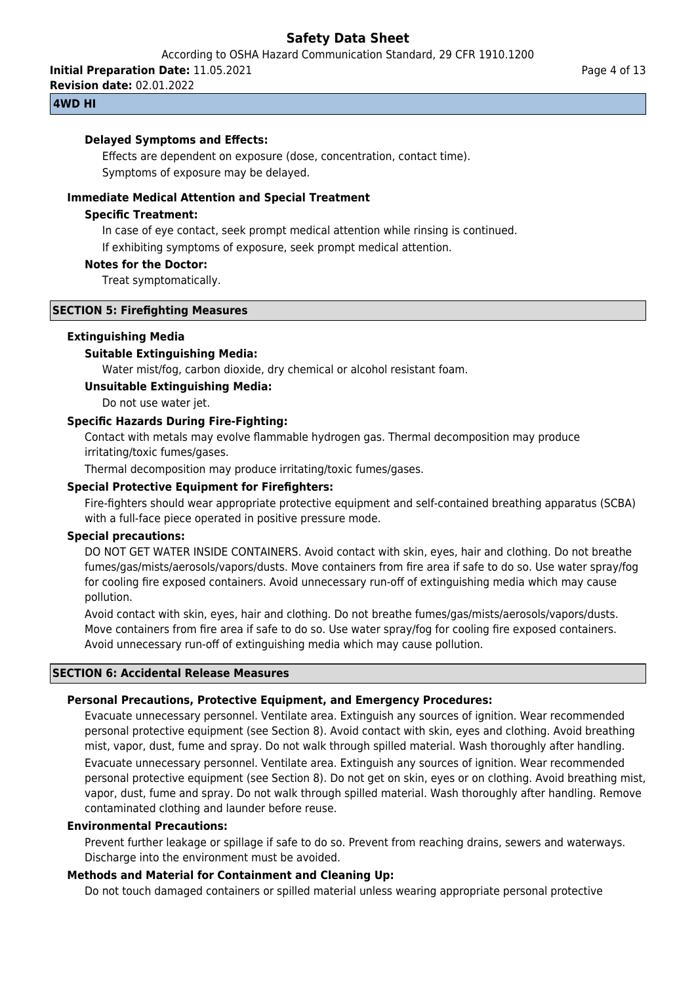According to OSHA Hazard Communication Standard, 29 CFR 1910.1200

**Initial Preparation Date:** 11.05.2021

**Revision date:** 02.01.2022

## **4WD HI**

## **Delayed Symptoms and Effects:**

Effects are dependent on exposure (dose, concentration, contact time). Symptoms of exposure may be delayed.

## **Immediate Medical Attention and Special Treatment**

## **Specific Treatment:**

In case of eye contact, seek prompt medical attention while rinsing is continued.

If exhibiting symptoms of exposure, seek prompt medical attention.

## **Notes for the Doctor:**

Treat symptomatically.

## **SECTION 5: Firefighting Measures**

## **Extinguishing Media**

## **Suitable Extinguishing Media:**

Water mist/fog, carbon dioxide, dry chemical or alcohol resistant foam.

## **Unsuitable Extinguishing Media:**

Do not use water jet.

## **Specific Hazards During Fire-Fighting:**

Contact with metals may evolve flammable hydrogen gas. Thermal decomposition may produce irritating/toxic fumes/gases.

Thermal decomposition may produce irritating/toxic fumes/gases.

# **Special Protective Equipment for Firefighters:**

Fire-fighters should wear appropriate protective equipment and self-contained breathing apparatus (SCBA) with a full-face piece operated in positive pressure mode.

## **Special precautions:**

DO NOT GET WATER INSIDE CONTAINERS. Avoid contact with skin, eyes, hair and clothing. Do not breathe fumes/gas/mists/aerosols/vapors/dusts. Move containers from fire area if safe to do so. Use water spray/fog for cooling fire exposed containers. Avoid unnecessary run-off of extinguishing media which may cause pollution.

Avoid contact with skin, eyes, hair and clothing. Do not breathe fumes/gas/mists/aerosols/vapors/dusts. Move containers from fire area if safe to do so. Use water spray/fog for cooling fire exposed containers. Avoid unnecessary run-off of extinguishing media which may cause pollution.

## **SECTION 6: Accidental Release Measures**

## **Personal Precautions, Protective Equipment, and Emergency Procedures:**

Evacuate unnecessary personnel. Ventilate area. Extinguish any sources of ignition. Wear recommended personal protective equipment (see Section 8). Avoid contact with skin, eyes and clothing. Avoid breathing mist, vapor, dust, fume and spray. Do not walk through spilled material. Wash thoroughly after handling. Evacuate unnecessary personnel. Ventilate area. Extinguish any sources of ignition. Wear recommended personal protective equipment (see Section 8). Do not get on skin, eyes or on clothing. Avoid breathing mist, vapor, dust, fume and spray. Do not walk through spilled material. Wash thoroughly after handling. Remove contaminated clothing and launder before reuse.

## **Environmental Precautions:**

Prevent further leakage or spillage if safe to do so. Prevent from reaching drains, sewers and waterways. Discharge into the environment must be avoided.

## **Methods and Material for Containment and Cleaning Up:**

Do not touch damaged containers or spilled material unless wearing appropriate personal protective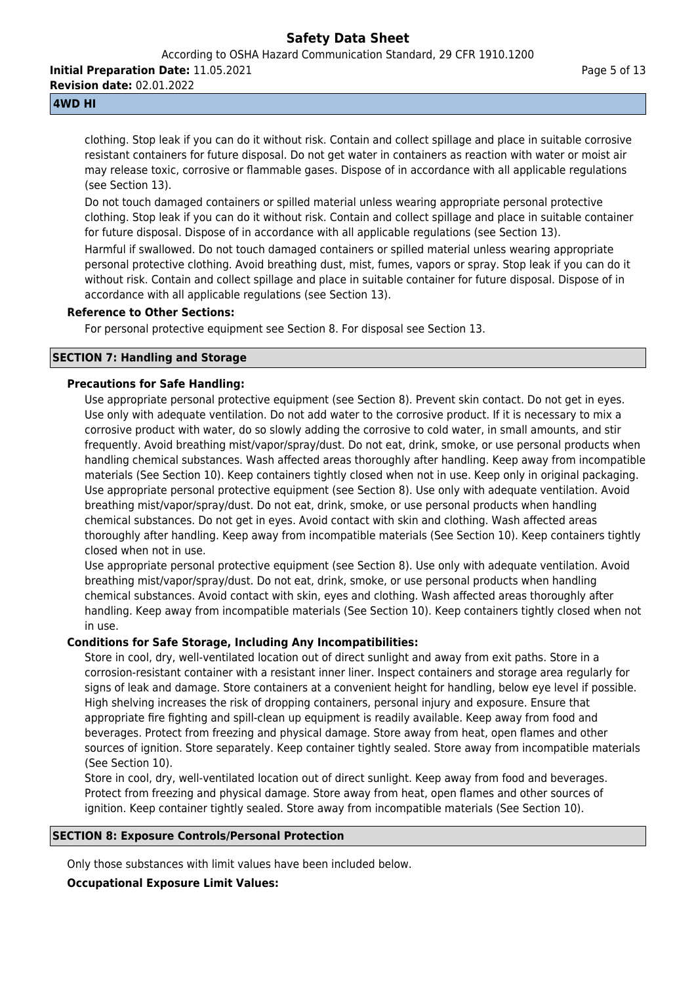According to OSHA Hazard Communication Standard, 29 CFR 1910.1200

**Initial Preparation Date:** 11.05.2021

**Revision date:** 02.01.2022

# **4WD HI**

clothing. Stop leak if you can do it without risk. Contain and collect spillage and place in suitable corrosive resistant containers for future disposal. Do not get water in containers as reaction with water or moist air may release toxic, corrosive or flammable gases. Dispose of in accordance with all applicable regulations (see Section 13).

Do not touch damaged containers or spilled material unless wearing appropriate personal protective clothing. Stop leak if you can do it without risk. Contain and collect spillage and place in suitable container for future disposal. Dispose of in accordance with all applicable regulations (see Section 13).

Harmful if swallowed. Do not touch damaged containers or spilled material unless wearing appropriate personal protective clothing. Avoid breathing dust, mist, fumes, vapors or spray. Stop leak if you can do it without risk. Contain and collect spillage and place in suitable container for future disposal. Dispose of in accordance with all applicable regulations (see Section 13).

## **Reference to Other Sections:**

For personal protective equipment see Section 8. For disposal see Section 13.

# **SECTION 7: Handling and Storage**

## **Precautions for Safe Handling:**

Use appropriate personal protective equipment (see Section 8). Prevent skin contact. Do not get in eyes. Use only with adequate ventilation. Do not add water to the corrosive product. If it is necessary to mix a corrosive product with water, do so slowly adding the corrosive to cold water, in small amounts, and stir frequently. Avoid breathing mist/vapor/spray/dust. Do not eat, drink, smoke, or use personal products when handling chemical substances. Wash affected areas thoroughly after handling. Keep away from incompatible materials (See Section 10). Keep containers tightly closed when not in use. Keep only in original packaging. Use appropriate personal protective equipment (see Section 8). Use only with adequate ventilation. Avoid breathing mist/vapor/spray/dust. Do not eat, drink, smoke, or use personal products when handling chemical substances. Do not get in eyes. Avoid contact with skin and clothing. Wash affected areas thoroughly after handling. Keep away from incompatible materials (See Section 10). Keep containers tightly closed when not in use.

Use appropriate personal protective equipment (see Section 8). Use only with adequate ventilation. Avoid breathing mist/vapor/spray/dust. Do not eat, drink, smoke, or use personal products when handling chemical substances. Avoid contact with skin, eyes and clothing. Wash affected areas thoroughly after handling. Keep away from incompatible materials (See Section 10). Keep containers tightly closed when not in use.

# **Conditions for Safe Storage, Including Any Incompatibilities:**

Store in cool, dry, well-ventilated location out of direct sunlight and away from exit paths. Store in a corrosion-resistant container with a resistant inner liner. Inspect containers and storage area regularly for signs of leak and damage. Store containers at a convenient height for handling, below eye level if possible. High shelving increases the risk of dropping containers, personal injury and exposure. Ensure that appropriate fire fighting and spill-clean up equipment is readily available. Keep away from food and beverages. Protect from freezing and physical damage. Store away from heat, open flames and other sources of ignition. Store separately. Keep container tightly sealed. Store away from incompatible materials (See Section 10).

Store in cool, dry, well-ventilated location out of direct sunlight. Keep away from food and beverages. Protect from freezing and physical damage. Store away from heat, open flames and other sources of ignition. Keep container tightly sealed. Store away from incompatible materials (See Section 10).

## **SECTION 8: Exposure Controls/Personal Protection**

Only those substances with limit values have been included below.

## **Occupational Exposure Limit Values:**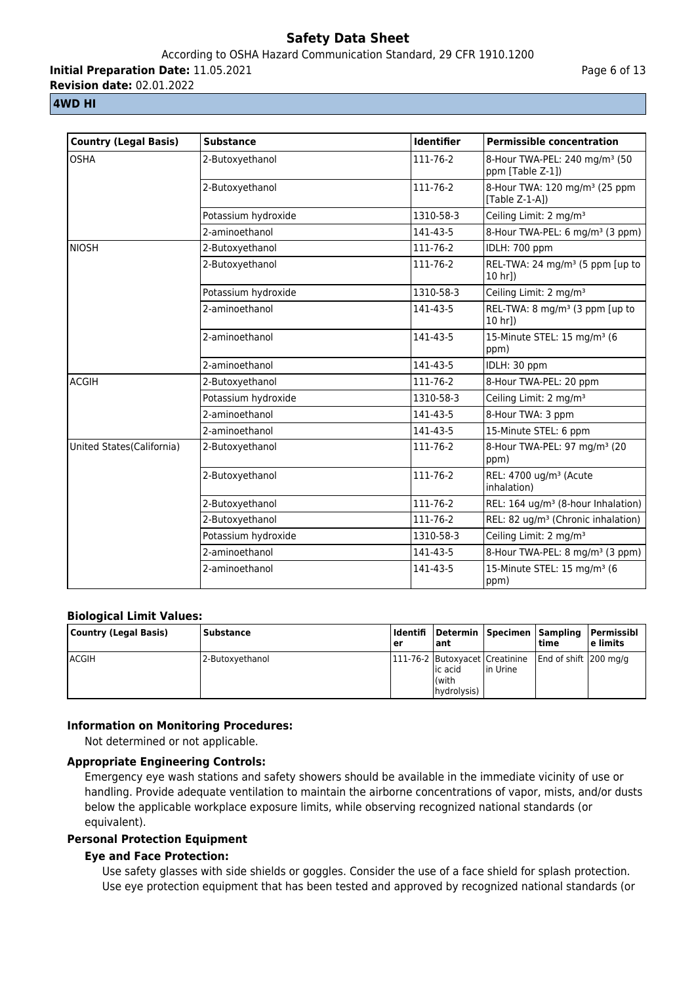# According to OSHA Hazard Communication Standard, 29 CFR 1910.1200

**Initial Preparation Date:** 11.05.2021

**Revision date:** 02.01.2022

# **4WD HI**

| <b>Country (Legal Basis)</b> | <b>Substance</b>    | <b>Identifier</b> | <b>Permissible concentration</b>                               |
|------------------------------|---------------------|-------------------|----------------------------------------------------------------|
| <b>OSHA</b>                  | 2-Butoxyethanol     | 111-76-2          | 8-Hour TWA-PEL: 240 mg/m <sup>3</sup> (50<br>ppm [Table Z-1])  |
|                              | 2-Butoxyethanol     | 111-76-2          | 8-Hour TWA: 120 mg/m <sup>3</sup> (25 ppm<br>[Table $Z-1-A$ ]) |
|                              | Potassium hydroxide | 1310-58-3         | Ceiling Limit: 2 mg/m <sup>3</sup>                             |
|                              | 2-aminoethanol      | 141-43-5          | 8-Hour TWA-PEL: 6 mg/m <sup>3</sup> (3 ppm)                    |
| <b>NIOSH</b>                 | 2-Butoxyethanol     | 111-76-2          | IDLH: 700 ppm                                                  |
|                              | 2-Butoxyethanol     | 111-76-2          | REL-TWA: 24 mg/m <sup>3</sup> (5 ppm [up to<br>10 hr])         |
|                              | Potassium hydroxide | 1310-58-3         | Ceiling Limit: 2 mg/m <sup>3</sup>                             |
|                              | 2-aminoethanol      | 141-43-5          | REL-TWA: 8 mg/m <sup>3</sup> (3 ppm [up to<br>10 hrl)          |
|                              | 2-aminoethanol      | 141-43-5          | 15-Minute STEL: 15 mg/m <sup>3</sup> (6<br>ppm)                |
|                              | 2-aminoethanol      | 141-43-5          | IDLH: 30 ppm                                                   |
| <b>ACGIH</b>                 | 2-Butoxyethanol     | 111-76-2          | 8-Hour TWA-PEL: 20 ppm                                         |
|                              | Potassium hydroxide | 1310-58-3         | Ceiling Limit: 2 mg/m <sup>3</sup>                             |
|                              | 2-aminoethanol      | 141-43-5          | 8-Hour TWA: 3 ppm                                              |
|                              | 2-aminoethanol      | 141-43-5          | 15-Minute STEL: 6 ppm                                          |
| United States(California)    | 2-Butoxyethanol     | 111-76-2          | 8-Hour TWA-PEL: 97 mg/m <sup>3</sup> (20<br>ppm)               |
|                              | 2-Butoxyethanol     | 111-76-2          | REL: 4700 ug/m <sup>3</sup> (Acute<br>inhalation)              |
|                              | 2-Butoxyethanol     | 111-76-2          | REL: 164 ug/m <sup>3</sup> (8-hour Inhalation)                 |
|                              | 2-Butoxyethanol     | 111-76-2          | REL: 82 ug/m <sup>3</sup> (Chronic inhalation)                 |
|                              | Potassium hydroxide | 1310-58-3         | Ceiling Limit: 2 mg/m <sup>3</sup>                             |
|                              | 2-aminoethanol      | 141-43-5          | 8-Hour TWA-PEL: 8 mg/m <sup>3</sup> (3 ppm)                    |
|                              | 2-aminoethanol      | 141-43-5          | 15-Minute STEL: 15 mg/m <sup>3</sup> (6<br>ppm)                |

# **Biological Limit Values:**

| Country (Legal Basis) | l Substance     | ler | ant                              |                                                  | time                   | Identifi  Determin  Specimen  Sampling  Permissibl<br>l e limits |
|-----------------------|-----------------|-----|----------------------------------|--------------------------------------------------|------------------------|------------------------------------------------------------------|
| <b>ACGIH</b>          | 2-Butoxyethanol |     | lic acid<br>(with<br>hydrolysis) | [111-76-2   Butoxyacet   Creatinine<br>lin Urine | End of shift 1200 mg/g |                                                                  |

# **Information on Monitoring Procedures:**

Not determined or not applicable.

# **Appropriate Engineering Controls:**

Emergency eye wash stations and safety showers should be available in the immediate vicinity of use or handling. Provide adequate ventilation to maintain the airborne concentrations of vapor, mists, and/or dusts below the applicable workplace exposure limits, while observing recognized national standards (or equivalent).

# **Personal Protection Equipment**

# **Eye and Face Protection:**

Use safety glasses with side shields or goggles. Consider the use of a face shield for splash protection. Use eye protection equipment that has been tested and approved by recognized national standards (or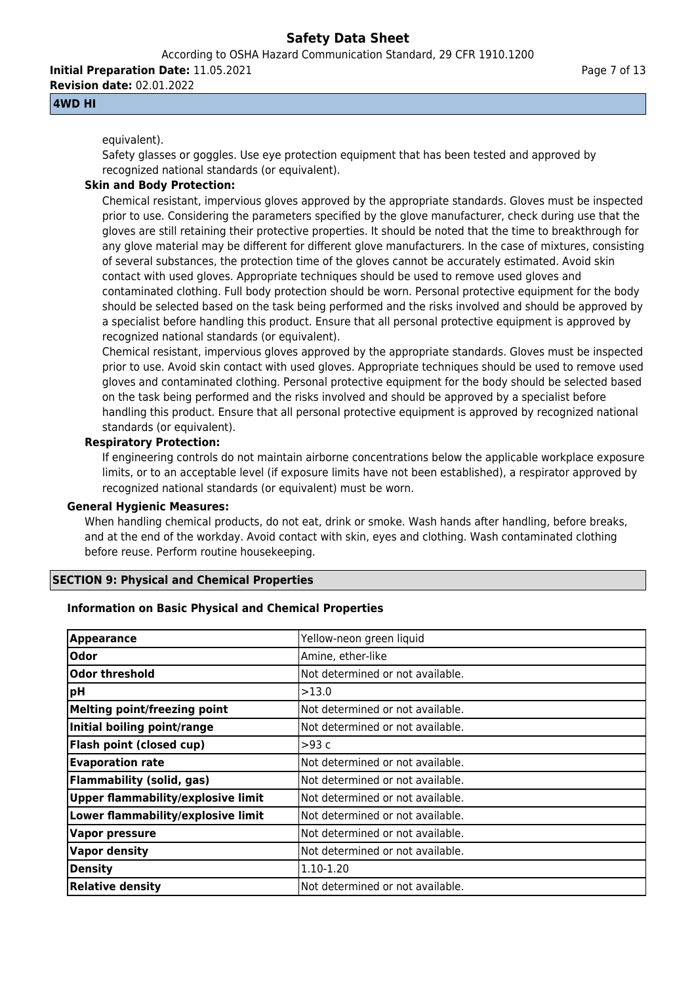According to OSHA Hazard Communication Standard, 29 CFR 1910.1200

**Initial Preparation Date:** 11.05.2021 **Revision date:** 02.01.2022

**4WD HI**

# equivalent).

Safety glasses or goggles. Use eye protection equipment that has been tested and approved by recognized national standards (or equivalent).

# **Skin and Body Protection:**

Chemical resistant, impervious gloves approved by the appropriate standards. Gloves must be inspected prior to use. Considering the parameters specified by the glove manufacturer, check during use that the gloves are still retaining their protective properties. It should be noted that the time to breakthrough for any glove material may be different for different glove manufacturers. In the case of mixtures, consisting of several substances, the protection time of the gloves cannot be accurately estimated. Avoid skin contact with used gloves. Appropriate techniques should be used to remove used gloves and contaminated clothing. Full body protection should be worn. Personal protective equipment for the body should be selected based on the task being performed and the risks involved and should be approved by a specialist before handling this product. Ensure that all personal protective equipment is approved by recognized national standards (or equivalent).

Chemical resistant, impervious gloves approved by the appropriate standards. Gloves must be inspected prior to use. Avoid skin contact with used gloves. Appropriate techniques should be used to remove used gloves and contaminated clothing. Personal protective equipment for the body should be selected based on the task being performed and the risks involved and should be approved by a specialist before handling this product. Ensure that all personal protective equipment is approved by recognized national standards (or equivalent).

# **Respiratory Protection:**

If engineering controls do not maintain airborne concentrations below the applicable workplace exposure limits, or to an acceptable level (if exposure limits have not been established), a respirator approved by recognized national standards (or equivalent) must be worn.

# **General Hygienic Measures:**

When handling chemical products, do not eat, drink or smoke. Wash hands after handling, before breaks, and at the end of the workday. Avoid contact with skin, eyes and clothing. Wash contaminated clothing before reuse. Perform routine housekeeping.

# **SECTION 9: Physical and Chemical Properties**

# **Information on Basic Physical and Chemical Properties**

| <b>Appearance</b>                                 | Yellow-neon green liquid          |
|---------------------------------------------------|-----------------------------------|
| <b>Odor</b>                                       | Amine, ether-like                 |
| $\boldsymbol{\mathsf{ }\mathsf{0}}$ dor threshold | Not determined or not available.  |
| pH                                                | >13.0                             |
| Melting point/freezing point                      | Not determined or not available.  |
| Initial boiling point/range                       | Not determined or not available.  |
| <b>Flash point (closed cup)</b>                   | >93 c                             |
| <b>Evaporation rate</b>                           | Not determined or not available.  |
| Flammability (solid, gas)                         | Not determined or not available.  |
| <b>Upper flammability/explosive limit</b>         | INot determined or not available. |
| Lower flammability/explosive limit                | Not determined or not available.  |
| <b>Vapor pressure</b>                             | Not determined or not available.  |
| <b>Vapor density</b>                              | INot determined or not available. |
| <b>Density</b>                                    | 1.10-1.20                         |
| <b>Relative density</b>                           | Not determined or not available.  |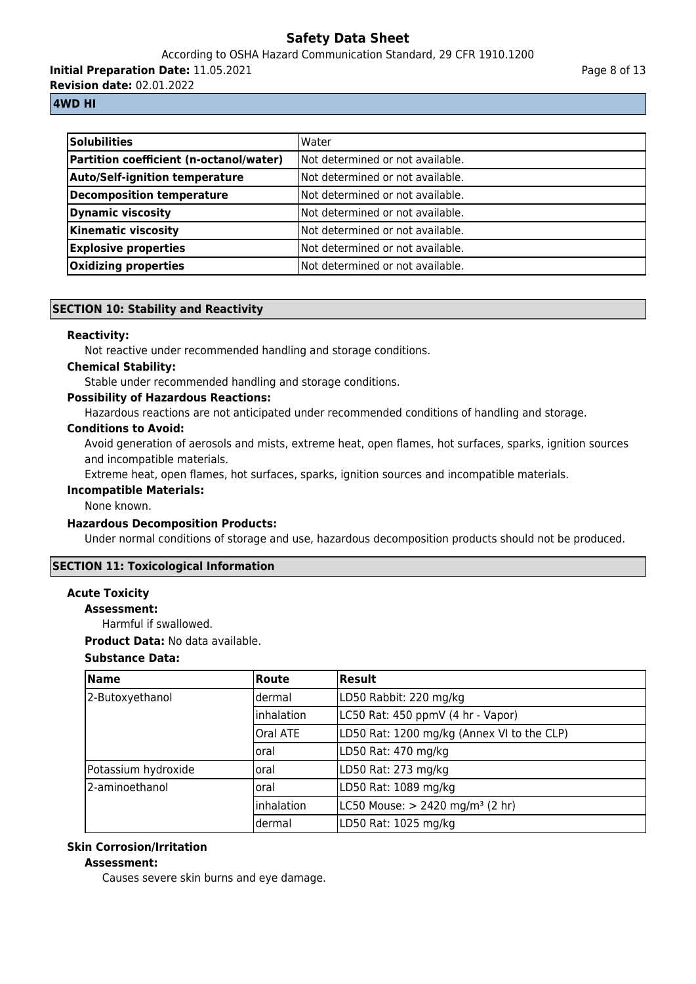According to OSHA Hazard Communication Standard, 29 CFR 1910.1200

**Initial Preparation Date:** 11.05.2021

**Revision date:** 02.01.2022

# **4WD HI**

| <b>Solubilities</b>                     | <b>Water</b>                      |
|-----------------------------------------|-----------------------------------|
| Partition coefficient (n-octanol/water) | INot determined or not available. |
| <b>Auto/Self-ignition temperature</b>   | Not determined or not available.  |
| Decomposition temperature               | Not determined or not available.  |
| Dynamic viscosity                       | Not determined or not available.  |
| <b>Kinematic viscosity</b>              | Not determined or not available.  |
| <b>Explosive properties</b>             | Not determined or not available.  |
| Oxidizing properties                    | Not determined or not available.  |

# **SECTION 10: Stability and Reactivity**

# **Reactivity:**

Not reactive under recommended handling and storage conditions.

# **Chemical Stability:**

Stable under recommended handling and storage conditions.

# **Possibility of Hazardous Reactions:**

Hazardous reactions are not anticipated under recommended conditions of handling and storage.

# **Conditions to Avoid:**

Avoid generation of aerosols and mists, extreme heat, open flames, hot surfaces, sparks, ignition sources and incompatible materials.

Extreme heat, open flames, hot surfaces, sparks, ignition sources and incompatible materials.

## **Incompatible Materials:**

None known.

## **Hazardous Decomposition Products:**

Under normal conditions of storage and use, hazardous decomposition products should not be produced.

# **SECTION 11: Toxicological Information**

# **Acute Toxicity**

**Assessment:**

Harmful if swallowed.

**Product Data:** No data available.

# **Substance Data:**

| <b>Name</b>         | Route      | <b>Result</b>                                 |
|---------------------|------------|-----------------------------------------------|
| 2-Butoxyethanol     | ldermal    | LD50 Rabbit: 220 mg/kg                        |
|                     | Inhalation | LC50 Rat: 450 ppmV (4 hr - Vapor)             |
|                     | Oral ATE   | LD50 Rat: 1200 mg/kg (Annex VI to the CLP)    |
|                     | loral      | LD50 Rat: 470 mg/kg                           |
| Potassium hydroxide | loral      | LD50 Rat: 273 mg/kg                           |
| 2-aminoethanol      | loral      | LD50 Rat: 1089 mg/kg                          |
|                     | Inhalation | LC50 Mouse: $> 2420$ mg/m <sup>3</sup> (2 hr) |
|                     | dermal     | LD50 Rat: 1025 mg/kg                          |

# **Skin Corrosion/Irritation**

## **Assessment:**

Causes severe skin burns and eye damage.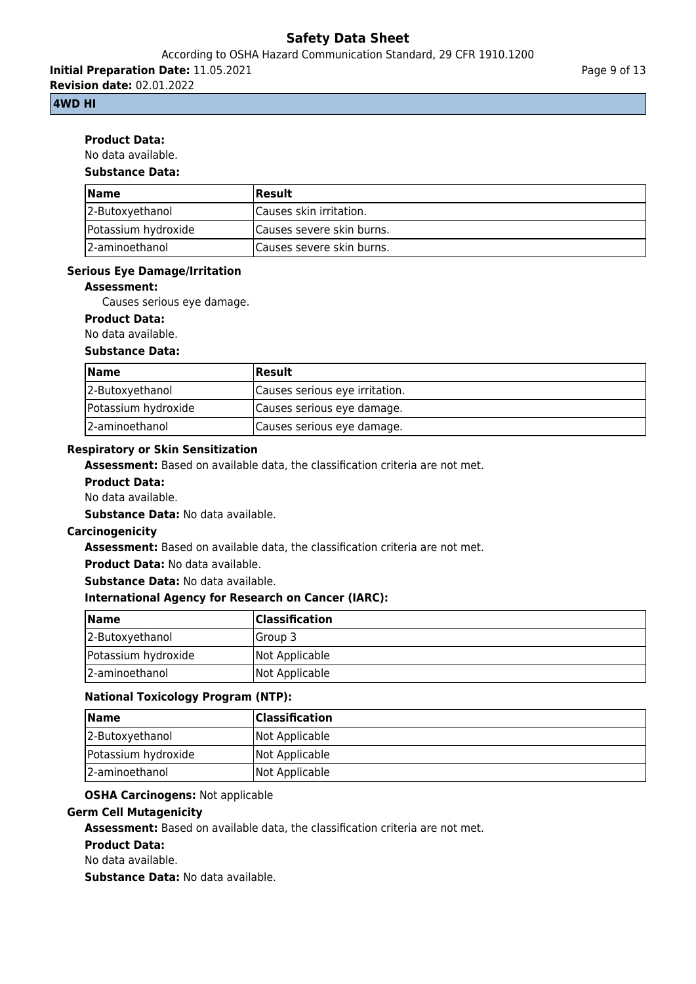According to OSHA Hazard Communication Standard, 29 CFR 1910.1200

**Initial Preparation Date:** 11.05.2021

**Revision date:** 02.01.2022

# **4WD HI**

# **Product Data:**

No data available.

# **Substance Data:**

| <b>Name</b>         | <b>Result</b>             |
|---------------------|---------------------------|
| 2-Butoxyethanol     | Causes skin irritation.   |
| Potassium hydroxide | Causes severe skin burns. |
| 12-aminoethanol     | Causes severe skin burns. |

# **Serious Eye Damage/Irritation**

# **Assessment:**

Causes serious eye damage.

## **Product Data:**

No data available.

## **Substance Data:**

| <b>Name</b>         | <b>Result</b>                  |
|---------------------|--------------------------------|
| 2-Butoxyethanol     | Causes serious eye irritation. |
| Potassium hydroxide | Causes serious eye damage.     |
| 2-aminoethanol      | Causes serious eye damage.     |

# **Respiratory or Skin Sensitization**

**Assessment:** Based on available data, the classification criteria are not met.

## **Product Data:**

No data available.

**Substance Data:** No data available.

## **Carcinogenicity**

**Assessment:** Based on available data, the classification criteria are not met.

**Product Data:** No data available.

**Substance Data:** No data available.

# **International Agency for Research on Cancer (IARC):**

| <b>Name</b>         | <b>Classification</b> |
|---------------------|-----------------------|
| 2-Butoxyethanol     | lGroup 3              |
| Potassium hydroxide | Not Applicable        |
| 2-aminoethanol      | Not Applicable        |

# **National Toxicology Program (NTP):**

| <b>Name</b>         | <b>Classification</b> |
|---------------------|-----------------------|
| 2-Butoxyethanol     | Not Applicable        |
| Potassium hydroxide | Not Applicable        |
| 2-aminoethanol      | Not Applicable        |

## **OSHA Carcinogens:** Not applicable

# **Germ Cell Mutagenicity**

**Assessment:** Based on available data, the classification criteria are not met.

## **Product Data:**

No data available.

**Substance Data:** No data available.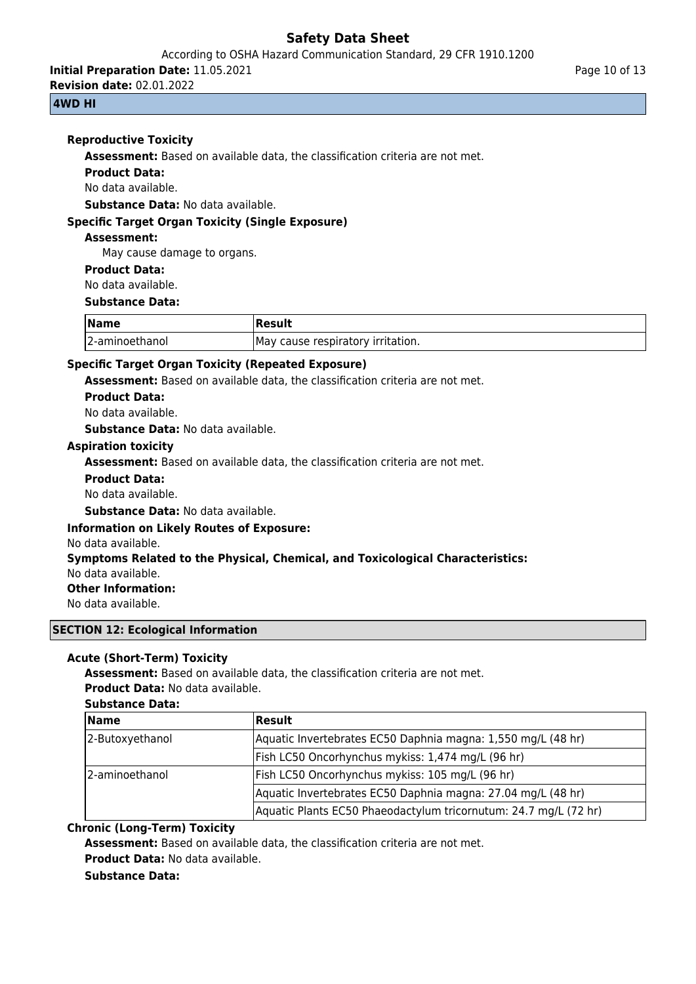According to OSHA Hazard Communication Standard, 29 CFR 1910.1200

**Initial Preparation Date:** 11.05.2021

**Revision date:** 02.01.2022

# **4WD HI**

٦

# **Reproductive Toxicity**

**Assessment:** Based on available data, the classification criteria are not met.

## **Product Data:**

No data available.

**Substance Data:** No data available.

## **Specific Target Organ Toxicity (Single Exposure)**

#### **Assessment:**

May cause damage to organs.

#### **Product Data:**

No data available.

#### **Substance Data:**

| <b>Name</b>    |                                   |
|----------------|-----------------------------------|
| 2-aminoethanol | May cause respiratory irritation. |

# **Specific Target Organ Toxicity (Repeated Exposure)**

**Assessment:** Based on available data, the classification criteria are not met.

#### **Product Data:**

No data available.

**Substance Data:** No data available.

## **Aspiration toxicity**

**Assessment:** Based on available data, the classification criteria are not met.

## **Product Data:**

No data available.

**Substance Data:** No data available.

## **Information on Likely Routes of Exposure:**

No data available.

## **Symptoms Related to the Physical, Chemical, and Toxicological Characteristics:**

No data available.

# **Other Information:**

No data available.

## **SECTION 12: Ecological Information**

## **Acute (Short-Term) Toxicity**

**Assessment:** Based on available data, the classification criteria are not met. **Product Data:** No data available.

# **Substance Data:**

| <b>Name</b>     | Result                                                           |
|-----------------|------------------------------------------------------------------|
| 2-Butoxyethanol | Aquatic Invertebrates EC50 Daphnia magna: 1,550 mg/L (48 hr)     |
|                 | Fish LC50 Oncorhynchus mykiss: 1,474 mg/L (96 hr)                |
| 2-aminoethanol  | Fish LC50 Oncorhynchus mykiss: 105 mg/L (96 hr)                  |
|                 | Aquatic Invertebrates EC50 Daphnia magna: 27.04 mg/L (48 hr)     |
|                 | Aquatic Plants EC50 Phaeodactylum tricornutum: 24.7 mg/L (72 hr) |

# **Chronic (Long-Term) Toxicity**

**Assessment:** Based on available data, the classification criteria are not met.

# **Product Data:** No data available.

# **Substance Data:**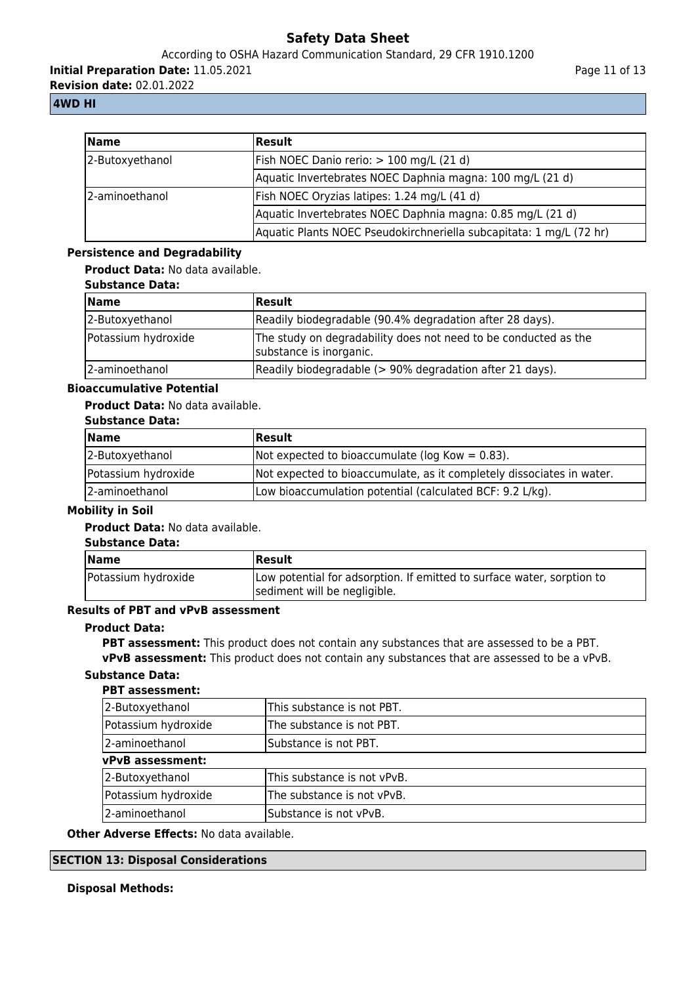According to OSHA Hazard Communication Standard, 29 CFR 1910.1200

**Initial Preparation Date:** 11.05.2021

**Revision date:** 02.01.2022

# **4WD HI**

| <b>Name</b>     | Result                                                              |
|-----------------|---------------------------------------------------------------------|
| 2-Butoxyethanol | Fish NOEC Danio rerio: > 100 mg/L (21 d)                            |
|                 | Aquatic Invertebrates NOEC Daphnia magna: 100 mg/L (21 d)           |
| l2-aminoethanol | Fish NOEC Oryzias latipes: 1.24 mg/L (41 d)                         |
|                 | Aquatic Invertebrates NOEC Daphnia magna: 0.85 mg/L (21 d)          |
|                 | Aquatic Plants NOEC Pseudokirchneriella subcapitata: 1 mg/L (72 hr) |

# **Persistence and Degradability**

**Product Data:** No data available.

| <b>Substance Data:</b> |  |
|------------------------|--|
|------------------------|--|

| Name                | <b>Result</b>                                                                              |
|---------------------|--------------------------------------------------------------------------------------------|
| 2-Butoxyethanol     | Readily biodegradable (90.4% degradation after 28 days).                                   |
| Potassium hydroxide | The study on degradability does not need to be conducted as the<br>substance is inorganic. |
| 2-aminoethanol      | Readily biodegradable (> 90% degradation after 21 days).                                   |

## **Bioaccumulative Potential**

## **Product Data:** No data available.

## **Substance Data:**

| <b>Name</b>         | Result                                                                |
|---------------------|-----------------------------------------------------------------------|
| 2-Butoxyethanol     | Not expected to bioaccumulate ( $log Kow = 0.83$ ).                   |
| Potassium hydroxide | Not expected to bioaccumulate, as it completely dissociates in water. |
| 2-aminoethanol      | Low bioaccumulation potential (calculated BCF: 9.2 L/kg).             |

# **Mobility in Soil**

## **Product Data:** No data available.

| <b>Substance Data:</b> |                                                                                                        |
|------------------------|--------------------------------------------------------------------------------------------------------|
| <b>Name</b>            | <b>Result</b>                                                                                          |
| Potassium hydroxide    | Low potential for adsorption. If emitted to surface water, sorption to<br>sediment will be negligible. |

# **Results of PBT and vPvB assessment**

#### **Product Data:**

**PBT assessment:** This product does not contain any substances that are assessed to be a PBT.

**vPvB assessment:** This product does not contain any substances that are assessed to be a vPvB.

# **Substance Data:**

# **PBT assessment:** 2-Butoxyethanol This substance is not PBT. Potassium hydroxide **The substance is not PBT.** 2-aminoethanol Substance is not PBT. **vPvB assessment:** 2-Butoxyethanol This substance is not vPvB. Potassium hydroxide  $\vert$ The substance is not vPvB. 2-aminoethanol Substance is not vPvB.

## **Other Adverse Effects:** No data available.

## **SECTION 13: Disposal Considerations**

# **Disposal Methods:**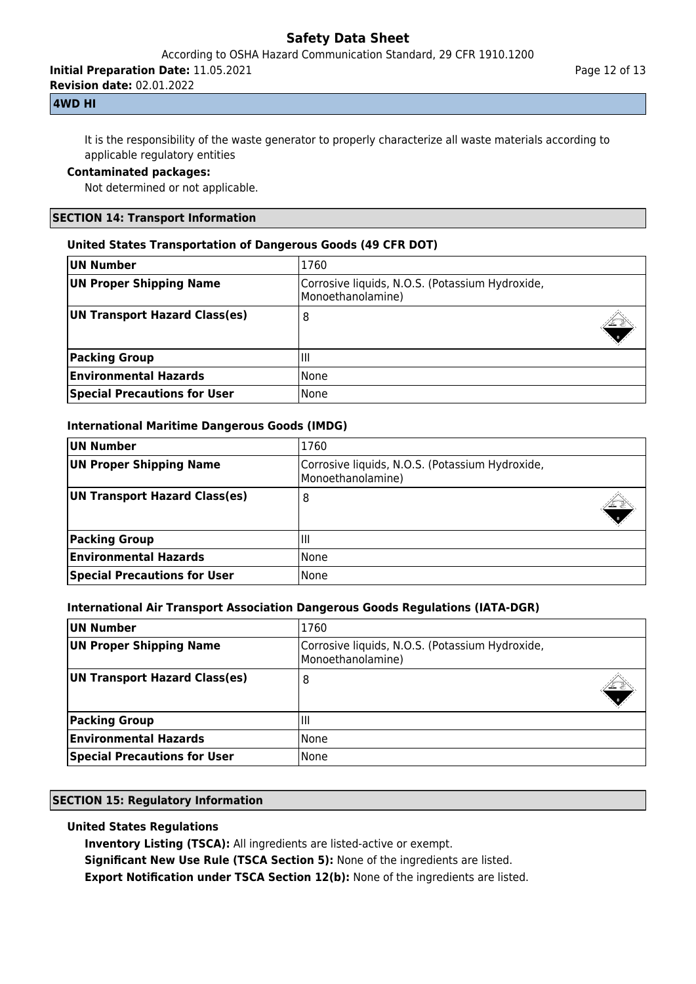According to OSHA Hazard Communication Standard, 29 CFR 1910.1200

**Initial Preparation Date:** 11.05.2021

**Revision date:** 02.01.2022

# **4WD HI**

It is the responsibility of the waste generator to properly characterize all waste materials according to applicable regulatory entities

# **Contaminated packages:**

Not determined or not applicable.

## **SECTION 14: Transport Information**

## **United States Transportation of Dangerous Goods (49 CFR DOT)**

| UN Number                           | 1760                                                                 |
|-------------------------------------|----------------------------------------------------------------------|
| UN Proper Shipping Name             | Corrosive liquids, N.O.S. (Potassium Hydroxide,<br>Monoethanolamine) |
| UN Transport Hazard Class(es)       | 8                                                                    |
| <b>Packing Group</b>                | Чħ                                                                   |
| <b>Environmental Hazards</b>        | l None                                                               |
| <b>Special Precautions for User</b> | None                                                                 |

## **International Maritime Dangerous Goods (IMDG)**

| UN Number                           | 1760                                                                 |
|-------------------------------------|----------------------------------------------------------------------|
| UN Proper Shipping Name             | Corrosive liquids, N.O.S. (Potassium Hydroxide,<br>Monoethanolamine) |
| UN Transport Hazard Class(es)       | 8                                                                    |
| <b>Packing Group</b>                | Ш                                                                    |
| <b>Environmental Hazards</b>        | <b>None</b>                                                          |
| <b>Special Precautions for User</b> | None                                                                 |

# **International Air Transport Association Dangerous Goods Regulations (IATA-DGR)**

| UN Number                           | 1760                                                                 |
|-------------------------------------|----------------------------------------------------------------------|
| UN Proper Shipping Name             | Corrosive liquids, N.O.S. (Potassium Hydroxide,<br>Monoethanolamine) |
| UN Transport Hazard Class(es)       | 8                                                                    |
| <b>Packing Group</b>                | Ш                                                                    |
| <b>Environmental Hazards</b>        | None                                                                 |
| <b>Special Precautions for User</b> | None                                                                 |

## **SECTION 15: Regulatory Information**

# **United States Regulations**

**Inventory Listing (TSCA):** All ingredients are listed-active or exempt.

**Significant New Use Rule (TSCA Section 5):** None of the ingredients are listed.

**Export Notification under TSCA Section 12(b):** None of the ingredients are listed.